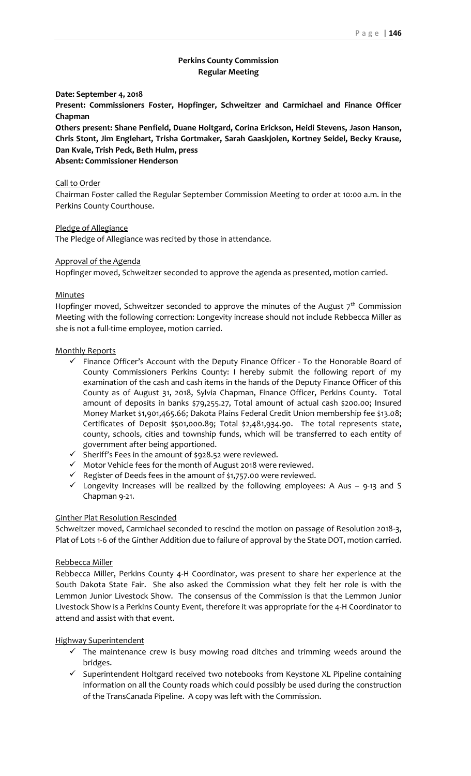# **Perkins County Commission Regular Meeting**

**Date: September 4, 2018**

**Present: Commissioners Foster, Hopfinger, Schweitzer and Carmichael and Finance Officer Chapman**

**Others present: Shane Penfield, Duane Holtgard, Corina Erickson, Heidi Stevens, Jason Hanson, Chris Stont, Jim Englehart, Trisha Gortmaker, Sarah Gaaskjolen, Kortney Seidel, Becky Krause, Dan Kvale, Trish Peck, Beth Hulm, press**

**Absent: Commissioner Henderson**

#### Call to Order

Chairman Foster called the Regular September Commission Meeting to order at 10:00 a.m. in the Perkins County Courthouse.

Pledge of Allegiance

The Pledge of Allegiance was recited by those in attendance.

#### Approval of the Agenda

Hopfinger moved, Schweitzer seconded to approve the agenda as presented, motion carried.

### **Minutes**

Hopfinger moved, Schweitzer seconded to approve the minutes of the August  $7<sup>th</sup>$  Commission Meeting with the following correction: Longevity increase should not include Rebbecca Miller as she is not a full-time employee, motion carried.

#### Monthly Reports

- $\checkmark$  Finance Officer's Account with the Deputy Finance Officer To the Honorable Board of County Commissioners Perkins County: I hereby submit the following report of my examination of the cash and cash items in the hands of the Deputy Finance Officer of this County as of August 31, 2018, Sylvia Chapman, Finance Officer, Perkins County. Total amount of deposits in banks \$79,255.27, Total amount of actual cash \$200.00; Insured Money Market \$1,901,465.66; Dakota Plains Federal Credit Union membership fee \$13.08; Certificates of Deposit \$501,000.89; Total \$2,481,934.90. The total represents state, county, schools, cities and township funds, which will be transferred to each entity of government after being apportioned.
- $\checkmark$  Sheriff's Fees in the amount of \$928.52 were reviewed.
- ✓ Motor Vehicle fees for the month of August 2018 were reviewed.
- ✓ Register of Deeds fees in the amount of \$1,757.00 were reviewed.
- ✓ Longevity Increases will be realized by the following employees: A Aus 9-13 and S Chapman 9-21.

### Ginther Plat Resolution Rescinded

Schweitzer moved, Carmichael seconded to rescind the motion on passage 0f Resolution 2018-3, Plat of Lots 1-6 of the Ginther Addition due to failure of approval by the State DOT, motion carried.

#### Rebbecca Miller

Rebbecca Miller, Perkins County 4-H Coordinator, was present to share her experience at the South Dakota State Fair. She also asked the Commission what they felt her role is with the Lemmon Junior Livestock Show. The consensus of the Commission is that the Lemmon Junior Livestock Show is a Perkins County Event, therefore it was appropriate for the 4-H Coordinator to attend and assist with that event.

#### Highway Superintendent

- $\checkmark$  The maintenance crew is busy mowing road ditches and trimming weeds around the bridges.
- ✓ Superintendent Holtgard received two notebooks from Keystone XL Pipeline containing information on all the County roads which could possibly be used during the construction of the TransCanada Pipeline. A copy was left with the Commission.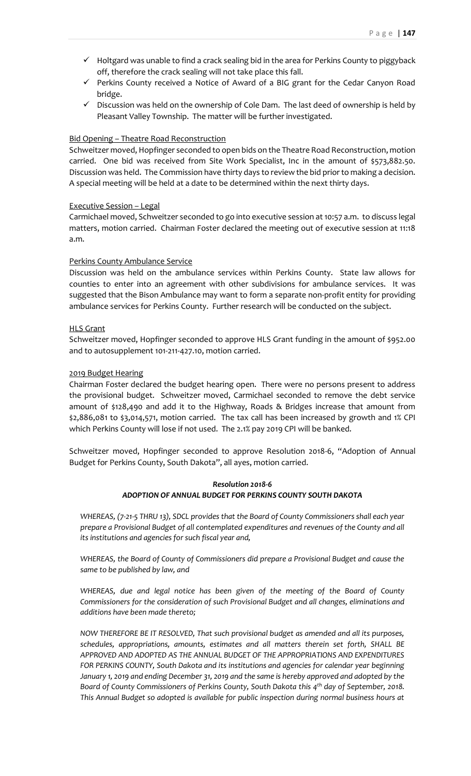- ✓ Holtgard was unable to find a crack sealing bid in the area for Perkins County to piggyback off, therefore the crack sealing will not take place this fall.
- ✓ Perkins County received a Notice of Award of a BIG grant for the Cedar Canyon Road bridge.
- $\checkmark$  Discussion was held on the ownership of Cole Dam. The last deed of ownership is held by Pleasant Valley Township. The matter will be further investigated.

#### Bid Opening – Theatre Road Reconstruction

Schweitzer moved, Hopfinger seconded to open bids on the Theatre Road Reconstruction, motion carried. One bid was received from Site Work Specialist, Inc in the amount of \$573,882.50. Discussion was held. The Commission have thirty days to review the bid prior to making a decision. A special meeting will be held at a date to be determined within the next thirty days.

### Executive Session – Legal

Carmichael moved, Schweitzer seconded to go into executive session at 10:57 a.m. to discuss legal matters, motion carried. Chairman Foster declared the meeting out of executive session at 11:18 a.m.

# Perkins County Ambulance Service

Discussion was held on the ambulance services within Perkins County. State law allows for counties to enter into an agreement with other subdivisions for ambulance services. It was suggested that the Bison Ambulance may want to form a separate non-profit entity for providing ambulance services for Perkins County. Further research will be conducted on the subject.

### HLS Grant

Schweitzer moved, Hopfinger seconded to approve HLS Grant funding in the amount of \$952.00 and to autosupplement 101-211-427.10, motion carried.

### 2019 Budget Hearing

Chairman Foster declared the budget hearing open. There were no persons present to address the provisional budget. Schweitzer moved, Carmichael seconded to remove the debt service amount of \$128,490 and add it to the Highway, Roads & Bridges increase that amount from \$2,886,081 to \$3,014,571, motion carried. The tax call has been increased by growth and 1% CPI which Perkins County will lose if not used. The 2.1% pay 2019 CPI will be banked.

Schweitzer moved, Hopfinger seconded to approve Resolution 2018-6, "Adoption of Annual Budget for Perkins County, South Dakota", all ayes, motion carried.

# *Resolution 2018-6 ADOPTION OF ANNUAL BUDGET FOR PERKINS COUNTY SOUTH DAKOTA*

*WHEREAS, (7-21-5 THRU 13), SDCL provides that the Board of County Commissioners shall each year prepare a Provisional Budget of all contemplated expenditures and revenues of the County and all its institutions and agencies for such fiscal year and,* 

*WHEREAS, the Board of County of Commissioners did prepare a Provisional Budget and cause the same to be published by law, and*

WHEREAS, due and legal notice has been given of the meeting of the Board of County *Commissioners for the consideration of such Provisional Budget and all changes, eliminations and additions have been made thereto;*

*NOW THEREFORE BE IT RESOLVED, That such provisional budget as amended and all its purposes, schedules, appropriations, amounts, estimates and all matters therein set forth, SHALL BE APPROVED AND ADOPTED AS THE ANNUAL BUDGET OF THE APPROPRIATIONS AND EXPENDITURES FOR PERKINS COUNTY, South Dakota and its institutions and agencies for calendar year beginning January 1, 2019 and ending December 31, 2019 and the same is hereby approved and adopted by the Board of County Commissioners of Perkins County, South Dakota this 4 th day of September, 2018. This Annual Budget so adopted is available for public inspection during normal business hours at*